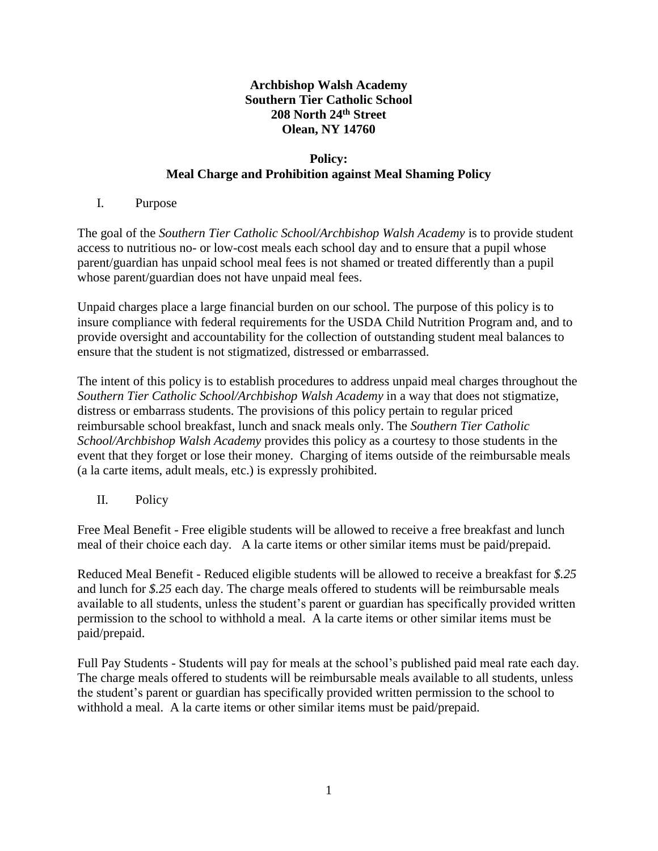# **Archbishop Walsh Academy Southern Tier Catholic School 208 North 24th Street Olean, NY 14760**

## **Policy: Meal Charge and Prohibition against Meal Shaming Policy**

## I. Purpose

The goal of the *Southern Tier Catholic School/Archbishop Walsh Academy* is to provide student access to nutritious no- or low-cost meals each school day and to ensure that a pupil whose parent/guardian has unpaid school meal fees is not shamed or treated differently than a pupil whose parent/guardian does not have unpaid meal fees.

Unpaid charges place a large financial burden on our school. The purpose of this policy is to insure compliance with federal requirements for the USDA Child Nutrition Program and, and to provide oversight and accountability for the collection of outstanding student meal balances to ensure that the student is not stigmatized, distressed or embarrassed.

The intent of this policy is to establish procedures to address unpaid meal charges throughout the *Southern Tier Catholic School/Archbishop Walsh Academy* in a way that does not stigmatize, distress or embarrass students. The provisions of this policy pertain to regular priced reimbursable school breakfast, lunch and snack meals only. The *Southern Tier Catholic School/Archbishop Walsh Academy* provides this policy as a courtesy to those students in the event that they forget or lose their money. Charging of items outside of the reimbursable meals (a la carte items, adult meals, etc.) is expressly prohibited.

II. Policy

Free Meal Benefit - Free eligible students will be allowed to receive a free breakfast and lunch meal of their choice each day. A la carte items or other similar items must be paid/prepaid.

Reduced Meal Benefit - Reduced eligible students will be allowed to receive a breakfast for *\$.25* and lunch for *\$.25* each day. The charge meals offered to students will be reimbursable meals available to all students, unless the student's parent or guardian has specifically provided written permission to the school to withhold a meal. A la carte items or other similar items must be paid/prepaid.

Full Pay Students - Students will pay for meals at the school's published paid meal rate each day. The charge meals offered to students will be reimbursable meals available to all students, unless the student's parent or guardian has specifically provided written permission to the school to withhold a meal. A la carte items or other similar items must be paid/prepaid.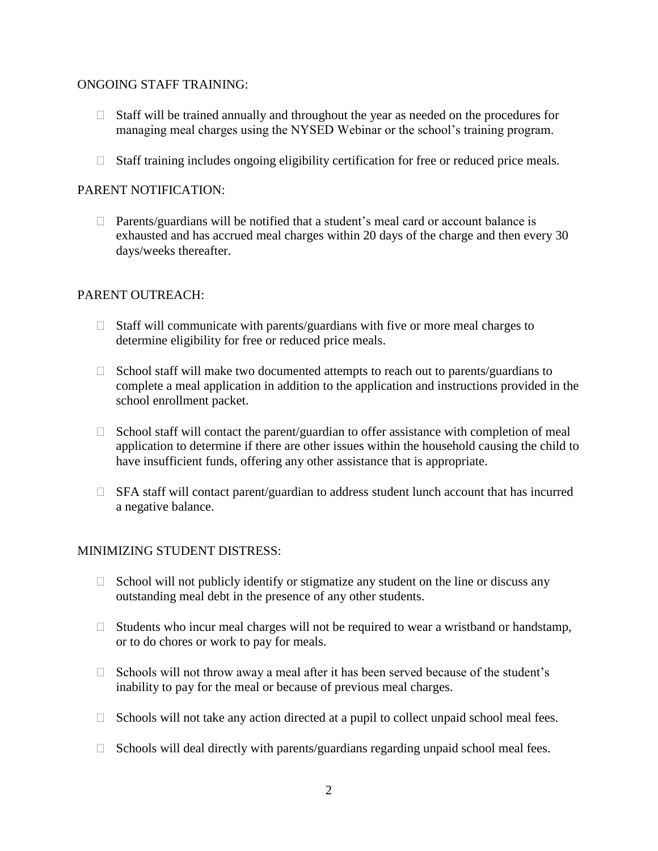#### ONGOING STAFF TRAINING:

- $\Box$  Staff will be trained annually and throughout the year as needed on the procedures for managing meal charges using the NYSED Webinar or the school's training program.
- $\Box$  Staff training includes ongoing eligibility certification for free or reduced price meals.

#### PARENT NOTIFICATION:

 $\Box$  Parents/guardians will be notified that a student's meal card or account balance is exhausted and has accrued meal charges within 20 days of the charge and then every 30 days/weeks thereafter.

#### PARENT OUTREACH:

- $\Box$  Staff will communicate with parents/guardians with five or more meal charges to determine eligibility for free or reduced price meals.
- $\Box$  School staff will make two documented attempts to reach out to parents/guardians to complete a meal application in addition to the application and instructions provided in the school enrollment packet.
- $\Box$  School staff will contact the parent/guardian to offer assistance with completion of meal application to determine if there are other issues within the household causing the child to have insufficient funds, offering any other assistance that is appropriate.
- $\Box$  SFA staff will contact parent/guardian to address student lunch account that has incurred a negative balance.

#### MINIMIZING STUDENT DISTRESS:

- $\Box$  School will not publicly identify or stigmatize any student on the line or discuss any outstanding meal debt in the presence of any other students.
- $\Box$  Students who incur meal charges will not be required to wear a wristband or handstamp, or to do chores or work to pay for meals.
- $\Box$  Schools will not throw away a meal after it has been served because of the student's inability to pay for the meal or because of previous meal charges.
- $\Box$  Schools will not take any action directed at a pupil to collect unpaid school meal fees.
- $\Box$  Schools will deal directly with parents/guardians regarding unpaid school meal fees.